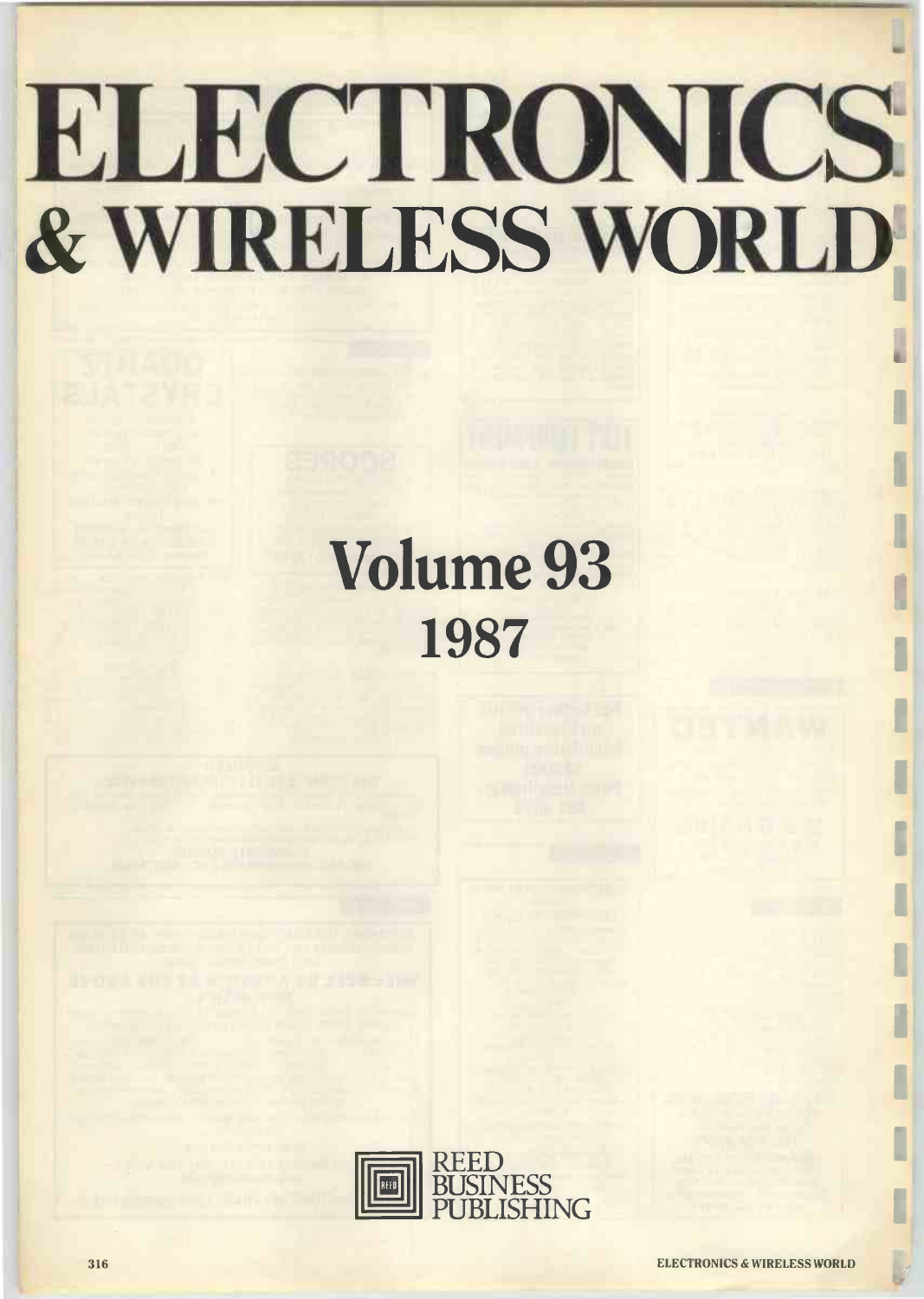## ELECTRONICS & WIRELESS WORLD

## Volume 93 1987

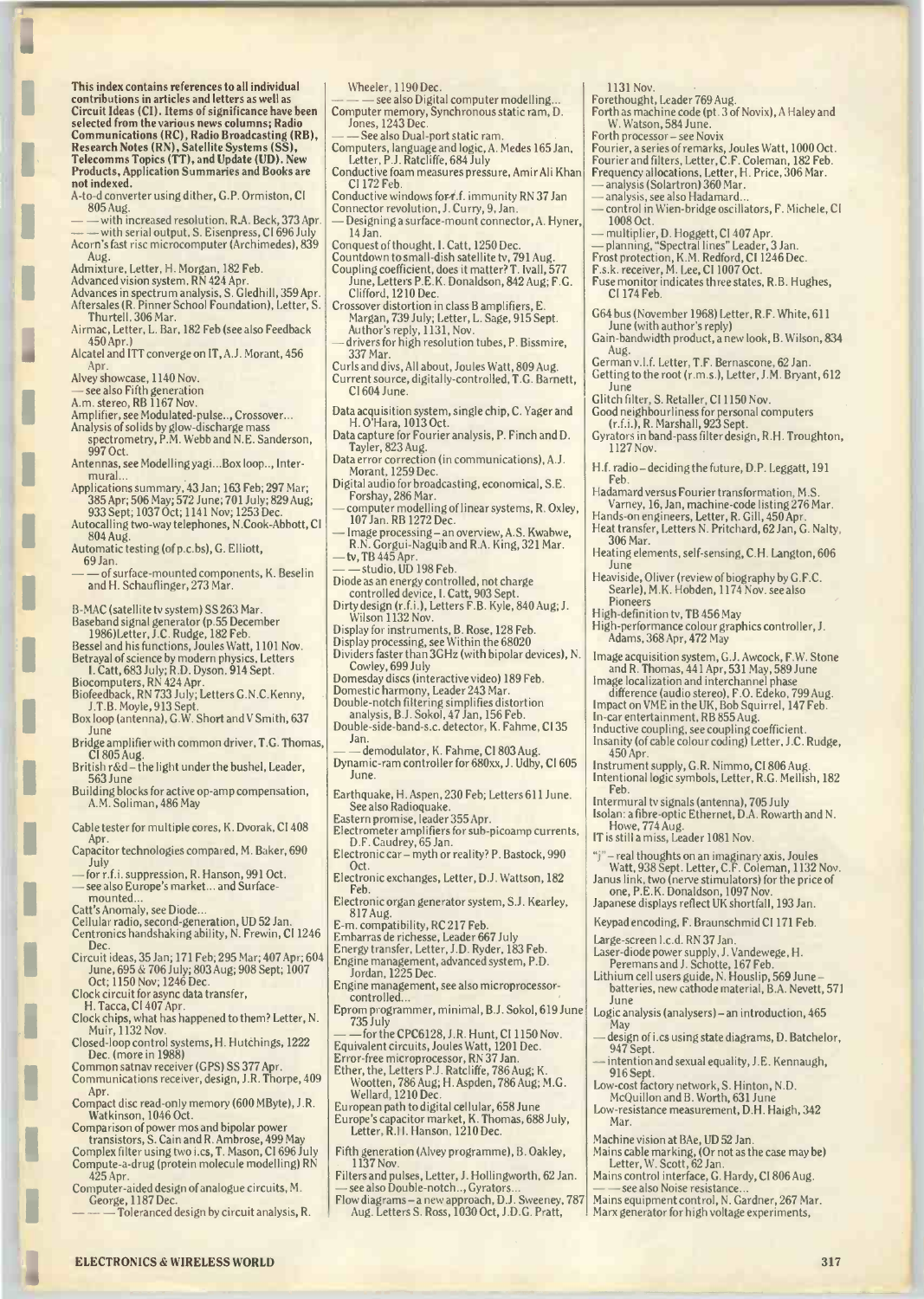This index contains references to all individual contributions in articles and letters as well as Circuit Ideas (CI). Items of significance have been selected from the various news columns; Radio Communications (RC), Radio Broadcasting (RB),  $\,$   $\,$   $\,$   $\,$ Research Notes (RN), Satellite Systems (SS), Telecomms Topics (TT), and Update (UD). New Products, Application Summaries and Books are not indexed.

- A -to -d converter using dither, G.P. Ormiston, CI 805 Aug.
- — with increased resolution, R.A. Beck, 373 Apr. | Desig<br>— with serial output, S. Eisenpress, CI 696 July | | | | | | | Jar Acorn's fast risc microcomputer (Archimedes), 839 Aug.
- Admixture, Letter, H. Morgan, 182 Feb.
- 
- Advanced vision system, RN 424 Apr. Advances in spectrum analysis, S. Gledhill, 359 Apr. Aftersales (R. Pinner School Foundation), Letter, S. Thurtell, 306 Mar.
- Airmac, Letter, L. Bar, 182 Feb (see also Feedback 450 Apr.)
- Alcatel and ITT converge on IT, A.J. Morant, 456 Apr.
- Alvey showcase, 1140 Nov.
- see also Fifth generation
- A.m. stereo, RB 1167 Nov.
- Amplifier, see Modulated-pulse.., Crossover...
- Analysis of solids by glow -discharge mass spectrometry, P.M. Webb and N.E. Sanderson, 997 Oct.
- Antennas, see Modelling yagi...Box loop.., Inter mural...
- Applications summary, 43 Jan; 163 Feb; 297 Mar; 385 Apr; 506 May; 572 June; 701 July; 829 Aug;
- 933 Sept; 1037 Oct; 1141 Nov; 1253 Dec. Autocalling two-way telephones, N.Cook-Abbott, CI 804 Aug.
- Automatic testing (of p.c.bs), G. Elliott, 69 Jan.
- of surface-mounted components, K. Beselin and H. Schauflinger, 273 Mar.

B -MAC (satellite tv system) SS 263 Mar.

- Baseband signal generator (p.55 December
- 1986)Letter, J.C. Rudge, 182 Feb. Bessel and his functions, Joules Watt, 1101 Nov. Betrayal of science by modern physics, Letters
- I. Catt, 683 July; R.D. Dyson, 914 Sept.
- Biocomputers, RN 424 Apr. Biofeedback, RN 733 July; Letters G.N.C.Kenny,
- J.T.B. Moyle, 913 Sept. Box loop (antenna), G.W. Short and V Smith, 637 June
- Bridge amplifier with common driver, T.G. Thomas,
- CI 805 Aug.<br>British r&d the light under the bushel, Leader, 563 June
- Building blocks for active op -amp compensation, A.M. Soliman, 486 May
- Cable tester for multiple cores, K. Dvorak, CI 408 Apr.
- Capacitor technologies compared, M. Baker, 690
- July for r.f.i. suppression, R. Hanson, 991 Oct. - see also Europe's market... and Surfacemounted...
- Catt's Anomaly, see Diode...

- Cellular radio, second-generation, UD 52 Jan.<br>Centronics handshaking ability, N. Frewin, CI 1246 Embarr.
- Dec. Circuit ideas, 35 Jan; 171 Feb; 295 Mar; 407 Apr; 604 June, 695 & 706 July; 803 Aug; 908 Sept; 1007  $^{100}$
- Oct; 1150 Nov; 1246 Dec. Clock circuit for async data transfer,

- H. Tacca, CI 407 Apr.
- Clock chips, what has happened to them? Letter, N. Muir, 1132 Nov.
- Closed -loop control systems, H. Hutchings, 1222 Dec. (more in 1988) Common satnav receiver (GPS) SS 377 Apr.
- Communications receiver, design, J.R. Thorpe, 409 Apr.
- Compact disc read-only memory (600 MByte), J.R. Watkinson, 1046 Oct.
- Comparison of power mos and bipolar power transistors, S. Cain and R. Ambrose, 499 May
- Complex filter using two i.cs, T. Mason, CI 696 July Compute -a -drug (protein molecule modelling) RN
- 425 Apr. Computer -aided design of analogue circuits, M. George, 1187 Dec.
	- Toleranced design by circuit analysis, R.

Wheeler, 1190 Dec.

- $- -$  see also Digital computer modelling... Computer memory, Synchronous static ram, D. Jones, 1243 Dec
- See also Dual-port static ram.
- Computers, language and logic, A. Medes 165 Jan, Letter, P.J. Ratcliffe, 684 July
- Conductive foam measures pressure, Amir Ali Khan CI 172 Feb.
- Conductive windows for f.f. immunity RN 37 Jan
- Connector revolution, J. Curry, 9, Jan. Designing a surface-mount connector, A. Hyner, 14 Jan.
- 
- 14 Jan. Conquest of thought, I. Catt, 1250 Dec. Countdown to small -dish satellite tv, 791 Aug.
- Coupling coefficient, does it matter? T. Ivall,  $577$  | F.s.k. June, Letters P.E.K. Donaldson, 842 Aug; F.G. Clifford, 1210 Dec.
- Crossover distortion in class B amplifiers, E. Margan, 739 July; Letter, L. Sage, 915 Sept. Author's reply, 1131, Nov.
- drivers for high resolution tubes, P. Bissmire, 337 Mar.
- Curls and divs, All about, Joules Watt, 809 Aug. Current source, digitally -controlled, T.G. Barnett, CI 604 June.
- Data acquisition system, single chip, C. Yager and H. O'Hara, 1013 Oct.
- Data capture for Fourier analysis, P. Finch and D. Tayler, 823 Aug.
- Data error correction (in communications), A.J. Morant, 1259 Dec.
- Digital audio for broadcasting, economical, S.E. Forshay, 286 Mar.
- computer modelling of linear systems, R. Oxley, H.<br>107 Jan. RB 1272 Dec.
- Image processing an overview, A.S. Kwabwe,  $\begin{bmatrix} \text{r} \end{bmatrix}$ R.N. Gorgui-Naguib and R.A. King, 321 Mar. - tv, TB 445 Apr.
- -studio, UD 198 Feb.
- Diode as an energy controlled, not charge controlled device, I. Catt, 903 Sept.
- Dirty design (r.f.i.), Letters F.B. Kyle, 840 Aug; J. Wilson 1132 Nov.
- 
- 
- Display for instruments, B. Rose, 128 Feb.<br>Display processing, see Within the 68020<br>Dividers faster than 3GHz (with bipolar devices), N. Tm Cowley, 699 July
- Domesday discs (interactive video) 189 Feb.
- Domestic harmony, Leader 243 Mar. Double -notch filtering simplifies distortion analysis, B.J. Sokol, 47 Jan, 156 Feb.
- Double-side-band-s.c. detector, K. Fahme, Cl 35 Jan.
- demodulator, K. Fahme, CI 803 Aug. Dynamic -ram controller for 680xx, J. Udby, CI 605 June.
- Earthquake, H. Aspen, 230 Feb; Letters 611 June. See also Radioquake.
- Eastern promise, leader 355 Apr.
- Electrometer amplifiers for sub-picoamp currents, D.F. Caudrey, 65 Jan. Electronic car- myth or reality? P. Bastock, 990
- Oct. Electronic exchanges, Letter, D.J. Wattson, 182
- Feb.
- Electronic organ generator system, S.J. Kearley, 817 Aug.
- E -m. compatibility, RC 217 Feb.

Embarras de richesse, Leader 667 July Energy transfer, Letter, J.D. Ryder, 183 Feb.

Engine management, advanced system, P.D. Jordan, 1225 Dec.

- Engine management, see also microprocessor controlled
- Eprom programmer, minimal, B.J. Sokol, 619 June 735 July<br>— — for the CPC6128, J.R. Hunt, CI 1150 Nov.
- Equivalent circuits, Joules Watt, 1201 Dec.
- Error -free microprocessor, RN 37 Jan. Ether, the, Letters P.J. Ratcliffe, 786 Aug; K.
- Wootten, 786 Aug; H. Aspden, 786 Aug; M.G. Wellard, 1210 Dec.
- European path to digital cellular, 658 June Europe's capacitor market, K. Thomas, 688 July, Letter, R.H. Hanson, 1210 Dec.
- Fifth generation (Alvey programme), B. Oakley, 1137 Nov.
- Filters and pulses, Letter, J. Hollingworth, 62 Jan. see also Double-notch.., Gyrators.
- Flow diagrams- a new approach, D.J. Sweeney, 787 Aug. Letters S. Ross, 1030 Oct, J.D.G. Pratt,

**ELECTRONICS & WIRELESS WORLD 317** 317

1131 Nov.

CI 174 Feb.

Aug.

June

Feb.

1127 Nov.

306 Mar.

Pioneers

450 Apr.

Feb.

High-definition tv, TB 456 May

June

- Forethought, Leader 769 Aug.
- Forth as machine code (pt. 3 of Novix), A Haley and W. Watson, 584 June.
- Forth processor- see Novix

Fourier, a series of remarks, Joules Watt, 1000 Oct. Fourier and filters, Letter, C.F. Coleman, 182 Feb. Frequency allocations, Letter, H. Price, 306 Mar. - analysis (Solartron) 360 Mar.

June (with author's reply)

Glitch filter, S. Retailer, CI 1150 Nov.

analysis, see also Hadamard. control in Wien-bridge oscillators, F. Michele, CI 1008 Oct.

F.s.k. receiver, M. Lee, CI 1007 Oct. Fuse monitor indicates three states, R.B. Hughes,

G64 bus (November 1968) Letter, R.F. White, 611

German v.l.f. Letter, T.F. Bernascone, 62 Jan. Getting to the root (r.m.s.), Letter, J.M. Bryant, 612

Gain -bandwidth product, a new look, B. Wilson, 834

Good neighbourliness for personal computers (r.f.i.), R. Marshall, 923 Sept. Gyrators in band-pass filter design, R.H. Troughton,

H.f. radio-deciding the future, D.P. Leggatt, 191

Heating elements, self -sensing, C.H. Langton, 606

High-performance colour graphics controller, J.

Image acquisition system, G.J. Awcock, F.W. Stone and R. Thomas, 441 Apr, 531 May, 589 June Image localization and interchannel phase difference (audio stereo), F.O. Edeko, 799 Aug. Impact on VME in the UK, Bob Squirrel, 147 Feb.

Inductive coupling, see coupling coefficient. Insanity (of cable colour coding) Letter, J.C. Rudge,

"j"- real thoughts on an imaginary axis, Joules Watt, 938 Sept. Letter, C.F. Coleman, 1132 Nov. Janus link, two (nerve stimulators) for the price of

Laser -diode power supply, J. Vandewege, H. Peremans and J. Schotte, 167 Feb. Lithium cell users guide, N. Houslip, 569 June batteries, new cathode material, B.A. Nevett, 571

Logic analysis (analysers) -an introduction, 465 May design of i.cs using state diagrams, D. Batchelor,

intention and sexual equality, J.E. Kennaugh,

Machine vision at BAe, UD 52 Jan. Mains cable marking, (Or not as the case may be) Letter, W. Scott, 62 Jan.

Low-cost factory network, S. Hinton, N.D. McQuillon and B. Worth, 631 June Low -resistance measurement, D.H. Haigh, 342

Mains control interface, G. Hardy, CI 806 Aug. see also Noise resistance. Mains equipment control, N. Gardner, 267 Mar. Marx generator for high voltage experiments,

Instrument supply, G.R. Nimmo, CI 806 Aug. Intentional logic symbols, Letter, R.G. Mellish, 182

Heaviside, Oliver (review of biography by G.F.C. Searle), M.K. Hobden, 1174 Nov. see also

Adams, 368 Apr, 472 May

In -car entertainment, RB 855 Aug.

Intermural tv signals (antenna), 705 July Isolan: a fibre -optic Ethernet, D.A. Rowarth and N.

Howe, 774 Aug. IT is still a miss, Leader 1081 Nov.

one, P.E.K. Donaldson, 1097 Nov. Japanese displays reflect UK shortfall, 193 Jan. Keypad encoding, F. Braunschmid CI 171 Feb.

Large-screen I.c.d. RN 37 Jan.

June

947 Sept.

916 Sept.

Mar.

Hadamard versus Fourier transformation, M.S. Varney, 16, Jan, machine-code listing 276 Mar. Hands-on engineers, Letter, R. Gill, 450 Apr. Heat transfer, Letters N. Pritchard, 62 Jan, G. Nalty,

— multiplier, D. Hoggett, CI 407 Apr.<br>— planning, "Spectral lines" Leader, 3 Jan.<br>Frost protection, K.M. Redford, CI 1246 Dec.